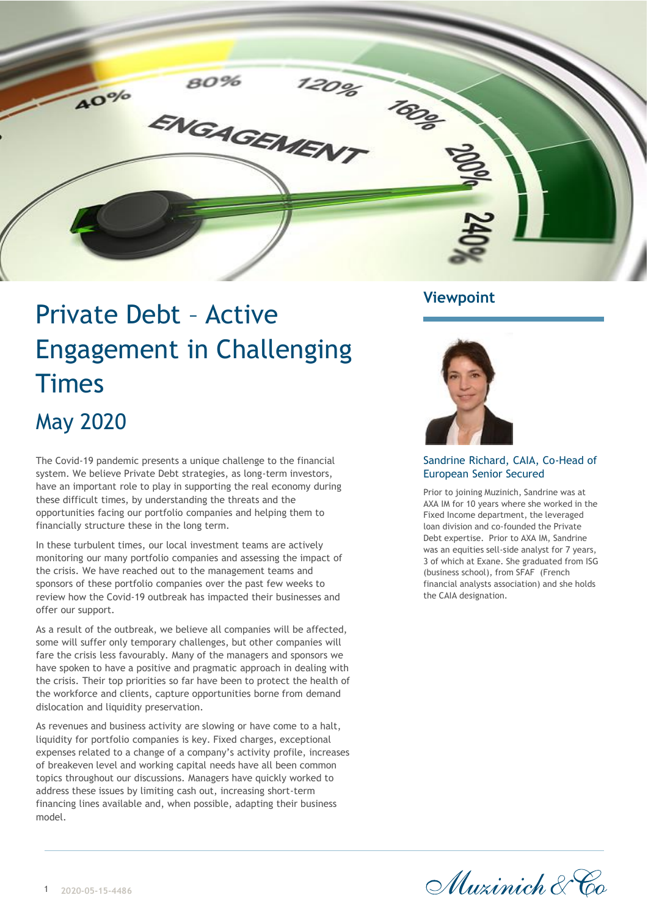

# Private Debt – Active Engagement in Challenging **Times** May 2020

The Covid-19 pandemic presents a unique challenge to the financial system. We believe Private Debt strategies, as long-term investors, have an important role to play in supporting the real economy during these difficult times, by understanding the threats and the opportunities facing our portfolio companies and helping them to financially structure these in the long term.

In these turbulent times, our local investment teams are actively monitoring our many portfolio companies and assessing the impact of the crisis. We have reached out to the management teams and sponsors of these portfolio companies over the past few weeks to review how the Covid-19 outbreak has impacted their businesses and offer our support.

As a result of the outbreak, we believe all companies will be affected, some will suffer only temporary challenges, but other companies will fare the crisis less favourably. Many of the managers and sponsors we have spoken to have a positive and pragmatic approach in dealing with the crisis. Their top priorities so far have been to protect the health of the workforce and clients, capture opportunities borne from demand dislocation and liquidity preservation.

As revenues and business activity are slowing or have come to a halt, liquidity for portfolio companies is key. Fixed charges, exceptional expenses related to a change of a company's activity profile, increases of breakeven level and working capital needs have all been common topics throughout our discussions. Managers have quickly worked to address these issues by limiting cash out, increasing short-term financing lines available and, when possible, adapting their business model.

## **Viewpoint**



#### Sandrine Richard, CAIA, Co-Head of European Senior Secured

Prior to joining Muzinich, Sandrine was at AXA IM for 10 years where she worked in the Fixed Income department, the leveraged loan division and co-founded the Private Debt expertise. Prior to AXA IM, Sandrine was an equities sell-side analyst for 7 years, 3 of which at Exane. She graduated from ISG (business school), from SFAF (French financial analysts association) and she holds the CAIA designation.

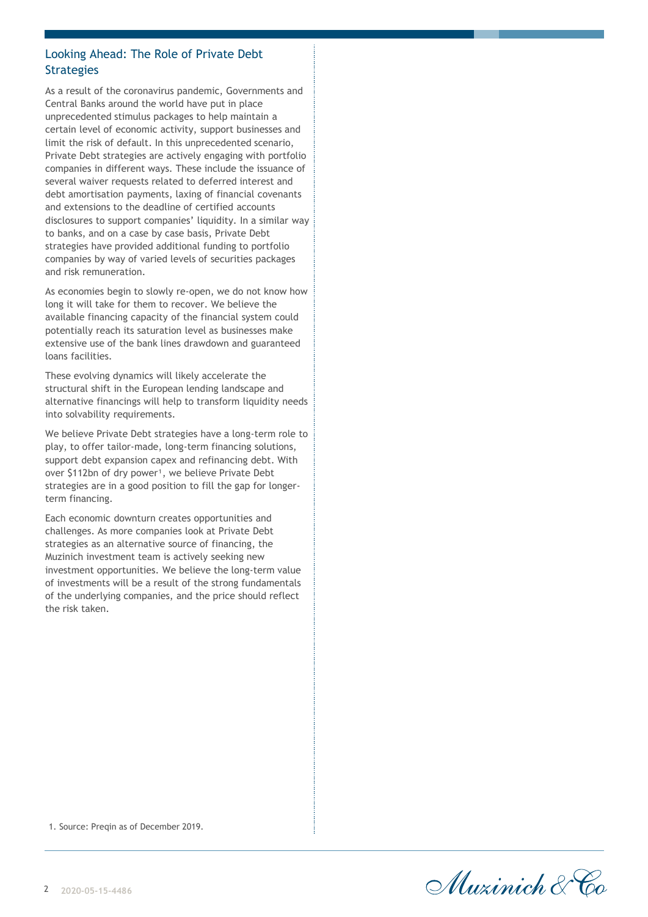### Looking Ahead: The Role of Private Debt **Strategies**

As a result of the coronavirus pandemic, Governments and Central Banks around the world have put in place unprecedented stimulus packages to help maintain a certain level of economic activity, support businesses and limit the risk of default. In this unprecedented scenario, Private Debt strategies are actively engaging with portfolio companies in different ways. These include the issuance of several waiver requests related to deferred interest and debt amortisation payments, laxing of financial covenants and extensions to the deadline of certified accounts disclosures to support companies' liquidity. In a similar way to banks, and on a case by case basis, Private Debt strategies have provided additional funding to portfolio companies by way of varied levels of securities packages and risk remuneration.

As economies begin to slowly re-open, we do not know how long it will take for them to recover. We believe the available financing capacity of the financial system could potentially reach its saturation level as businesses make extensive use of the bank lines drawdown and guaranteed loans facilities.

These evolving dynamics will likely accelerate the structural shift in the European lending landscape and alternative financings will help to transform liquidity needs into solvability requirements.

We believe Private Debt strategies have a long-term role to play, to offer tailor-made, long-term financing solutions, support debt expansion capex and refinancing debt. With over \$112bn of dry power<sup>1</sup>, we believe Private Debt strategies are in a good position to fill the gap for longerterm financing.

Each economic downturn creates opportunities and challenges. As more companies look at Private Debt strategies as an alternative source of financing, the Muzinich investment team is actively seeking new investment opportunities. We believe the long-term value of investments will be a result of the strong fundamentals of the underlying companies, and the price should reflect the risk taken.

1. Source: Pregin as of December 2019.